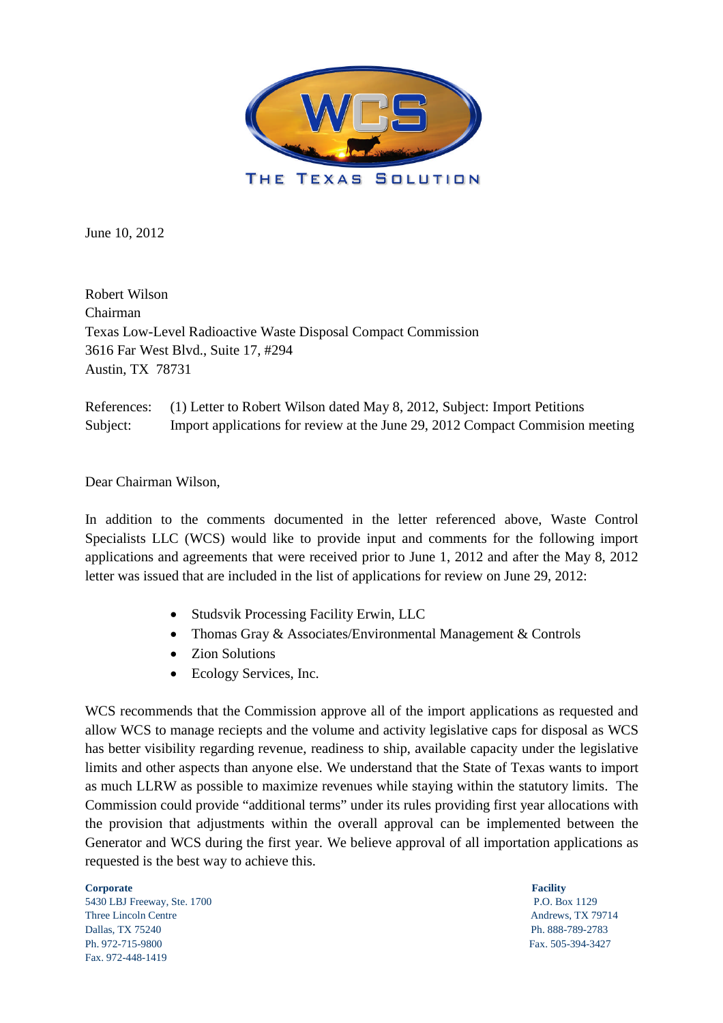

June 10, 2012

Robert Wilson Chairman Texas Low-Level Radioactive Waste Disposal Compact Commission 3616 Far West Blvd., Suite 17, #294 Austin, TX 78731

References: (1) Letter to Robert Wilson dated May 8, 2012, Subject: Import Petitions Subject: Import applications for review at the June 29, 2012 Compact Commision meeting

Dear Chairman Wilson,

In addition to the comments documented in the letter referenced above, Waste Control Specialists LLC (WCS) would like to provide input and comments for the following import applications and agreements that were received prior to June 1, 2012 and after the May 8, 2012 letter was issued that are included in the list of applications for review on June 29, 2012:

- Studsvik Processing Facility Erwin, LLC
- Thomas Gray & Associates/Environmental Management & Controls
- Zion Solutions
- Ecology Services, Inc.

WCS recommends that the Commission approve all of the import applications as requested and allow WCS to manage reciepts and the volume and activity legislative caps for disposal as WCS has better visibility regarding revenue, readiness to ship, available capacity under the legislative limits and other aspects than anyone else. We understand that the State of Texas wants to import as much LLRW as possible to maximize revenues while staying within the statutory limits. The Commission could provide "additional terms" under its rules providing first year allocations with the provision that adjustments within the overall approval can be implemented between the Generator and WCS during the first year. We believe approval of all importation applications as requested is the best way to achieve this.

**Corporate** Facility 5430 LBJ Freeway, Ste. 1700 P.O. Box 1129 Three Lincoln Centre **Andrews**, TX 79714

Dallas, TX 75240 Ph. 888-789-2783 Ph. 972-715-9800 Fax. 505-394-3427 Fax. 972-448-1419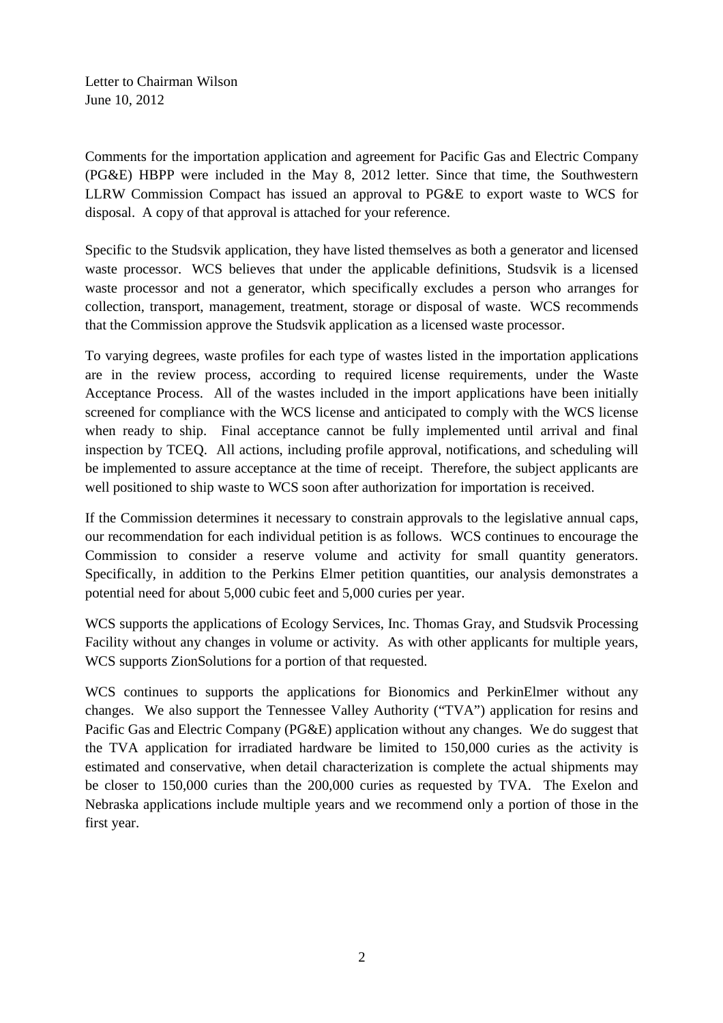Letter to Chairman Wilson June 10, 2012

Comments for the importation application and agreement for Pacific Gas and Electric Company (PG&E) HBPP were included in the May 8, 2012 letter. Since that time, the Southwestern LLRW Commission Compact has issued an approval to PG&E to export waste to WCS for disposal. A copy of that approval is attached for your reference.

Specific to the Studsvik application, they have listed themselves as both a generator and licensed waste processor. WCS believes that under the applicable definitions, Studsvik is a licensed waste processor and not a generator, which specifically excludes a person who arranges for collection, transport, management, treatment, storage or disposal of waste. WCS recommends that the Commission approve the Studsvik application as a licensed waste processor.

To varying degrees, waste profiles for each type of wastes listed in the importation applications are in the review process, according to required license requirements, under the Waste Acceptance Process. All of the wastes included in the import applications have been initially screened for compliance with the WCS license and anticipated to comply with the WCS license when ready to ship. Final acceptance cannot be fully implemented until arrival and final inspection by TCEQ. All actions, including profile approval, notifications, and scheduling will be implemented to assure acceptance at the time of receipt. Therefore, the subject applicants are well positioned to ship waste to WCS soon after authorization for importation is received.

If the Commission determines it necessary to constrain approvals to the legislative annual caps, our recommendation for each individual petition is as follows. WCS continues to encourage the Commission to consider a reserve volume and activity for small quantity generators. Specifically, in addition to the Perkins Elmer petition quantities, our analysis demonstrates a potential need for about 5,000 cubic feet and 5,000 curies per year.

WCS supports the applications of Ecology Services, Inc. Thomas Gray, and Studsvik Processing Facility without any changes in volume or activity. As with other applicants for multiple years, WCS supports ZionSolutions for a portion of that requested.

WCS continues to supports the applications for Bionomics and PerkinElmer without any changes. We also support the Tennessee Valley Authority ("TVA") application for resins and Pacific Gas and Electric Company (PG&E) application without any changes. We do suggest that the TVA application for irradiated hardware be limited to 150,000 curies as the activity is estimated and conservative, when detail characterization is complete the actual shipments may be closer to 150,000 curies than the 200,000 curies as requested by TVA. The Exelon and Nebraska applications include multiple years and we recommend only a portion of those in the first year.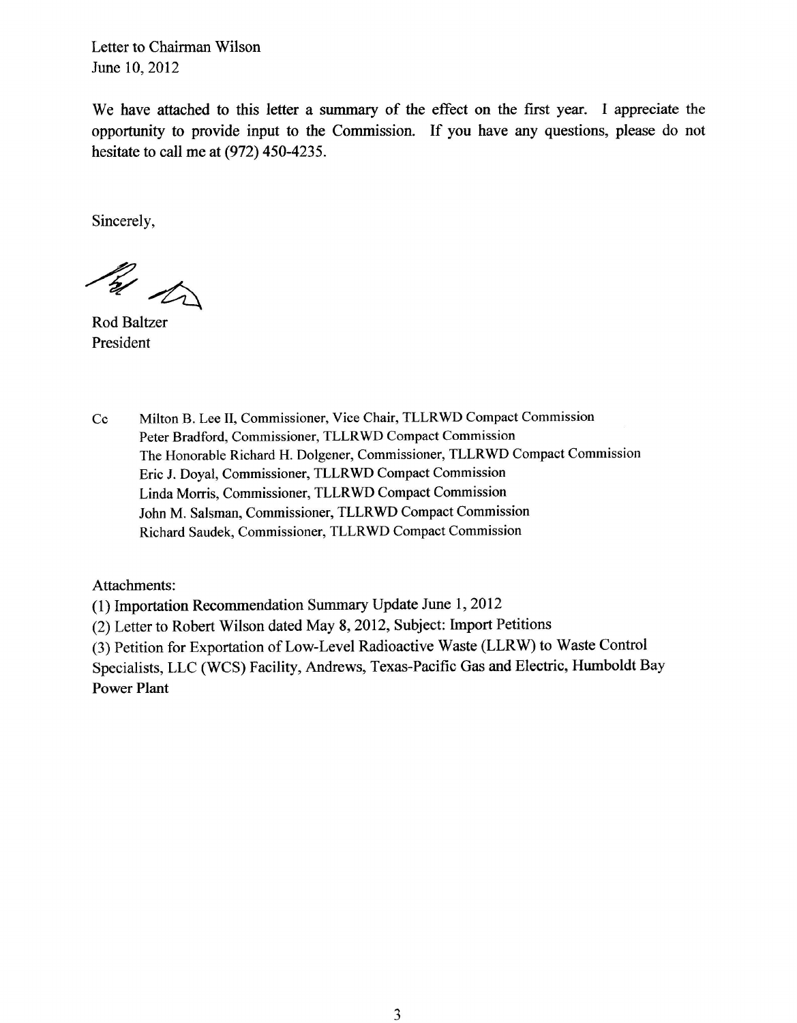Letter to Chairman Wilson June 10, 2012

We have attached to this letter a summary of the effect on the first year. I appreciate the opportunity to provide input to the Commission. If you have any questions, please do not hesitate to call me at (972) 450-4235.

Sincerely,

By to

**Rod Baltzer** President

 $Cc$ Milton B. Lee II. Commissioner, Vice Chair, TLLRWD Compact Commission Peter Bradford, Commissioner, TLLRWD Compact Commission The Honorable Richard H. Dolgener, Commissioner, TLLRWD Compact Commission Eric J. Doyal, Commissioner, TLLRWD Compact Commission Linda Morris, Commissioner, TLLRWD Compact Commission John M. Salsman, Commissioner, TLLRWD Compact Commission Richard Saudek, Commissioner, TLLRWD Compact Commission

Attachments:

(1) Importation Recommendation Summary Update June 1, 2012

(2) Letter to Robert Wilson dated May 8, 2012, Subject: Import Petitions

(3) Petition for Exportation of Low-Level Radioactive Waste (LLRW) to Waste Control

Specialists, LLC (WCS) Facility, Andrews, Texas-Pacific Gas and Electric, Humboldt Bay **Power Plant**